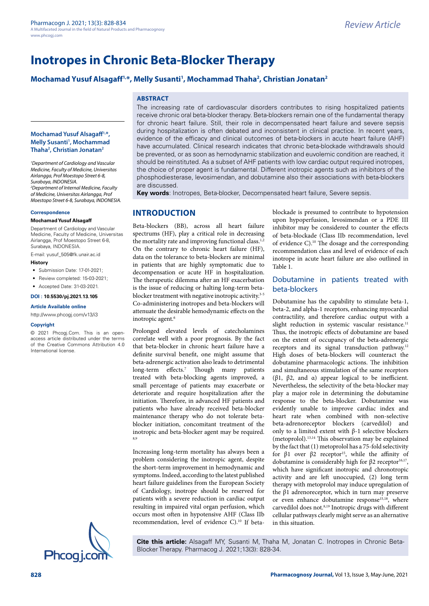# **Mochamad Yusuf Alsagaff1,\*, Melly Susanti1 , Mochammad Thaha2 , Christian Jonatan2**

### **ABSTRACT**

The increasing rate of cardiovascular disorders contributes to rising hospitalized patients receive chronic oral beta-blocker therapy. Beta-blockers remain one of the fundamental therapy for chronic heart failure. Still, their role in decompensated heart failure and severe sepsis during hospitalization is often debated and inconsistent in clinical practice. In recent years, evidence of the efficacy and clinical outcomes of beta-blockers in acute heart failure (AHF) have accumulated. Clinical research indicates that chronic beta-blockade withdrawals should be prevented, or as soon as hemodynamic stabilization and euvolemic condition are reached, it should be reinstituted. As a subset of AHF patients with low cardiac output required inotropes, the choice of proper agent is fundamental. Different inotropic agents such as inhibitors of the phosphodiesterase, levosimendan, and dobutamine also their associations with beta-blockers are discussed.

**Key words**: Inotropes, Beta-blocker, Decompensated heart failure, Severe sepsis.

# **INTRODUCTION**

Beta-blockers (BB), across all heart failure spectrums (HF), play a critical role in decreasing the mortality rate and improving functional class.<sup>1,2</sup> On the contrary to chronic heart failure (HF), data on the tolerance to beta-blockers are minimal in patients that are highly symptomatic due to decompensation or acute HF in hospitalization. The therapeutic dilemma after an HF exacerbation is the issue of reducing or halting long-term betablocker treatment with negative inotropic activity.<sup>3-5</sup> Co-administering inotropes and beta-blockers will attenuate the desirable hemodynamic effects on the inotropic agent.<sup>6</sup>

Prolonged elevated levels of catecholamines correlate well with a poor prognosis. By the fact that beta-blocker in chronic heart failure have a definite survival benefit, one might assume that beta-adrenergic activation also leads to detrimental long-term effects.7 Though many patients treated with beta-blocking agents improved, a small percentage of patients may exacerbate or deteriorate and require hospitalization after the initiation. Therefore, in advanced HF patients and patients who have already received beta-blocker maintenance therapy who do not tolerate betablocker initiation, concomitant treatment of the inotropic and beta-blocker agent may be required. 8,9

Increasing long-term mortality has always been a problem considering the inotropic agent, despite the short-term improvement in hemodynamic and symptoms. Indeed, according to the latest published heart failure guidelines from the European Society of Cardiology, inotrope should be reserved for patients with a severe reduction in cardiac output resulting in impaired vital organ perfusion, which occurs most often in hypotensive AHF (Class IIb recommendation, level of evidence C).10 If betablockade is presumed to contribute to hypotension upon hypoperfusion, levosimendan or a PDE III inhibitor may be considered to counter the effects of beta-blockade (Class IIb recommendation, level of evidence C).10 The dosage and the corresponding recommendation class and level of evidence of each inotrope in acute heart failure are also outlined in Table 1.

### Dobutamine in patients treated with beta-blockers

Dobutamine has the capability to stimulate beta-1, beta-2, and alpha-1 receptors, enhancing myocardial contractility, and therefore cardiac output with a slight reduction in systemic vascular resistance.<sup>11</sup> Thus, the inotropic effects of dobutamine are based on the extent of occupancy of the beta-adrenergic receptors and its signal transduction pathway.12 High doses of beta-blockers will counteract the dobutamine pharmacologic actions. The inhibition and simultaneous stimulation of the same receptors (β1, β2, and α) appear logical to be inefficient. Nevertheless, the selectivity of the beta-blocker may play a major role in determining the dobutamine response to the beta-blocker. Dobutamine was evidently unable to improve cardiac index and heart rate when combined with non-selective beta-adrenoreceptor blockers (carvedilol) and only to a limited extent with β-1 selective blockers (metoprolol).13,14 This observation may be explained by the fact that (1) metoprolol has a 75-fold selectivity for β1 over β2 receptor<sup>15</sup>, while the affinity of dobutamine is considerably high for  $β2$  receptor<sup>16,17</sup>, which have significant inotropic and chronotropic activity and are left unoccupied, (2) long term therapy with metoprolol may induce upregulation of the β1 adrenoreceptor, which in turn may preserve or even enhance dobutamine response<sup>15,18</sup>, where carvedilol does not.<sup>8,19</sup> Inotropic drugs with different cellular pathways clearly might serve as an alternative in this situation.

**Cite this article:** Alsagaff MY, Susanti M, Thaha M, Jonatan C. Inotropes in Chronic Beta-Blocker Therapy. Pharmacog J. 2021;13(3): 828-34.

### **Mochamad Yusuf Alsagaff1,\*, Melly Susanti<sup>1</sup>, Mochammad Thaha2 , Christian Jonatan2**

*1 Department of Cardiology and Vascular Medicine, Faculty of Medicine, Universitas Airlangga, Prof Moestopo Street 6-8, Surabaya, INDONESIA. 2 Department of Internal Medicine, Faculty of Medicine, Universitas Airlangga, Prof Moestopo Street 6-8, Surabaya, INDONESIA.*

#### **Correspondence**

#### **Mochamad Yusuf Alsagaff**

Department of Cardiology and Vascular Medicine, Faculty of Medicine, Universitas Airlangga, Prof Moestopo Street 6-8, Surabaya, INDONESIA.

E-mail: [yusuf\\_505@fk.unair.ac.id](mailto:yusuf_505@fk.unair.ac.id)

### **History**

- Submission Date: 17-01-2021;
- Review completed: 15-03-2021;
- Accepted Date: 31-03-2021.

#### **DOI : 10.5530/pj.2021.13.105**

#### **Article Available online**

<http://www.phcogj.com/v13/i3>

#### **Copyright**

© 2021 Phcogj.Com. This is an openaccess article distributed under the terms of the Creative Commons Attribution 4.0 International license.

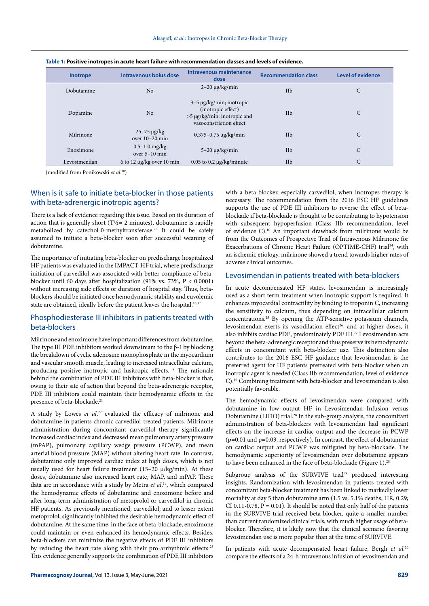| Inotrope     | Intravenous bolus dose                 | Intravenous maintenance<br>dose                                                                               | <b>Recommendation class</b> | <b>Level of evidence</b> |
|--------------|----------------------------------------|---------------------------------------------------------------------------------------------------------------|-----------------------------|--------------------------|
| Dobutamine   | No                                     | $2-20 \mu g/kg/min$                                                                                           | IIb                         | С                        |
| Dopamine     | No                                     | $3-5 \mu$ g/kg/min; inotropic<br>(inotropic effect)<br>>5 μg/kg/min: inotropic and<br>vasoconstriction effect | IIb                         | C                        |
| Milrinone    | $25 - 75 \mu g/kg$<br>over $10-20$ min | $0.375 - 0.75 \mu g/kg/min$                                                                                   | IIb                         | $\mathsf{C}$             |
| Enoximone    | $0.5 - 1.0$ mg/kg<br>over $5-10$ min   | $5-20 \mu g/kg/min$                                                                                           | IIb                         | C                        |
| Levosimendan | 6 to 12 $\mu$ g/kg over 10 min         | $0.05$ to 0.2 $\mu$ g/kg/minute                                                                               | IIb                         | C                        |

(modified from Ponikowski *et al*. 10)

### When is it safe to initiate beta-blocker in those patients with beta-adrenergic inotropic agents?

There is a lack of evidence regarding this issue. Based on its duration of action that is generally short (T $\frac{1}{2}$  = 2 minutes), dobutamine is rapidly metabolized by catechol-0-methyltransferase.20 It could be safely assumed to initiate a beta-blocker soon after successful weaning of dobutamine.

The importance of initiating beta-blocker on predischarge hospitalized HF patients was evaluated in the IMPACT-HF trial, where predischarge initiation of carvedilol was associated with better compliance of betablocker until 60 days after hospitalization (91% vs. 73%, P < 0.0001) without increasing side effects or duration of hospital stay. Thus, betablockers should be initiated once hemodynamic stability and euvolemic state are obtained, ideally before the patient leaves the hospital.<sup>16,17</sup>

### Phosphodiesterase III inhibitors in patients treated with beta-blockers

Milrinone and enoximone have important differences from dobutamine. The type III PDE inhibitors worked downstream to the β-1 by blocking the breakdown of cyclic adenosine monophosphate in the myocardium and vascular smooth muscle, leading to increased intracellular calcium, producing positive inotropic and lusitropic effects. 8 The rationale behind the combination of PDE III inhibitors with beta-blocker is that, owing to their site of action that beyond the beta-adrenergic receptor, PDE III inhibitors could maintain their hemodynamic effects in the presence of beta-blockade.<sup>21</sup>

A study by Lowes *et al*. 22 evaluated the efficacy of milrinone and dobutamine in patients chronic carvedilol-treated patients. Milrinone administration during concomitant carvedilol therapy significantly increased cardiac index and decreased mean pulmonary artery pressure (mPAP), pulmonary capillary wedge pressure (PCWP), and mean arterial blood pressure (MAP) without altering heart rate. In contrast, dobutamine only improved cardiac index at high doses, which is not usually used for heart failure treatment (15–20 μ/kg/min). At these doses, dobutamine also increased heart rate, MAP, and mPAP. These data are in accordance with a study by Metra *et al*. 14, which compared the hemodynamic effects of dobutamine and enoximone before and after long-term administration of metoprolol or carvedilol in chronic HF patients. As previously mentioned, carvedilol, and to lesser extent metoprolol, significantly inhibited the desirable hemodynamic effect of dobutamine. At the same time, in the face of beta-blockade, enoximone could maintain or even enhanced its hemodynamic effects. Besides, beta-blockers can minimize the negative effects of PDE III inhibitors by reducing the heart rate along with their pro-arrhythmic effects.<sup>23</sup> This evidence generally supports the combination of PDE III inhibitors with a beta-blocker, especially carvedilol, when inotropes therapy is necessary. The recommendation from the 2016 ESC HF guidelines supports the use of PDE III inhibitors to reverse the effect of betablockade if beta-blockade is thought to be contributing to hypotension with subsequent hypoperfusion (Class IIb recommendation, level of evidence C).10 An important drawback from milrinone would be from the Outcomes of Prospective Trial of Intravenous Milrinone for Exacerbations of Chronic Heart Failure (OPTIME-CHF) trial<sup>24</sup>, with an ischemic etiology, milrinone showed a trend towards higher rates of adverse clinical outcomes.

### Levosimendan in patients treated with beta-blockers

In acute decompensated HF states, levosimendan is increasingly used as a short term treatment when inotropic support is required. It enhances myocardial contractility by binding to troponin C, increasing the sensitivity to calcium, thus depending on intracellular calcium concentrations.25 By opening the ATP-sensitive potassium channels, levosimendan exerts its vasodilation effect<sup>26</sup>, and at higher doses, it also inhibits cardiac PDE, predominately PDE III.27 Levosimendan acts beyond the beta-adrenergic receptor and thus preserve its hemodynamic effects in concomitant with beta-blocker use. This distinction also contributes to the 2016 ESC HF guidance that levosimendan is the preferred agent for HF patients pretreated with beta-blocker when an inotropic agent is needed (Class IIb recommendation, level of evidence C).10 Combining treatment with beta-blocker and levosimendan is also potentially favorable.

The hemodynamic effects of levosimendan were compared with dobutamine in low output HF in Levosimendan Infusion versus Dobutamine (LIDO) trial.28 In the sub-group analysis, the concomitant administration of beta-blockers with levosimendan had significant effects on the increase in cardiac output and the decrease in PCWP  $(p=0.01$  and  $p=0.03$ , respectively). In contrast, the effect of dobutamine on cardiac output and PCWP was mitigated by beta-blockade. The hemodynamic superiority of levosimendan over dobutamine appears to have been enhanced in the face of beta-blockade (Figure 1).<sup>28</sup>

Subgroup analysis of the SURVIVE trial<sup>29</sup> produced interesting insights. Randomization with levosimendan in patients treated with concomitant beta-blocker treatment has been linked to markedly lower mortality at day 5 than dobutamine arm (1.5 vs. 5.1% deaths; HR, 0.29; CI 0.11-0.78,  $P = 0.01$ ). It should be noted that only half of the patients in the SURVIVE trial received beta-blocker, quite a smaller number than current randomized clinical trials, with much higher usage of betablocker. Therefore, it is likely now that the clinical scenario favoring levosimendan use is more popular than at the time of SURVIVE.

In patients with acute decompensated heart failure, Bergh et al.<sup>30</sup> compare the effects of a 24-h intravenous infusion of levosimendan and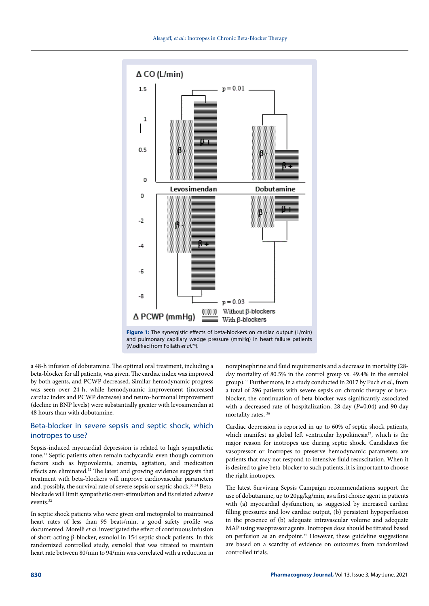

**Figure 1:** The synergistic effects of beta-blockers on cardiac output (L/min) and pulmonary capillary wedge pressure (mmHg) in heart failure patients (Modified from Follath *et al.*28).

a 48-h infusion of dobutamine. The optimal oral treatment, including a beta-blocker for all patients, was given. The cardiac index was improved by both agents, and PCWP decreased. Similar hemodynamic progress was seen over 24-h, while hemodynamic improvement (increased cardiac index and PCWP decrease) and neuro-hormonal improvement (decline in BNP levels) were substantially greater with levosimendan at 48 hours than with dobutamine.

### Beta-blocker in severe sepsis and septic shock, which inotropes to use?

Sepsis-induced myocardial depression is related to high sympathetic tone.31 Septic patients often remain tachycardia even though common factors such as hypovolemia, anemia, agitation, and medication effects are eliminated.32 The latest and growing evidence suggests that treatment with beta-blockers will improve cardiovascular parameters and, possibly, the survival rate of severe sepsis or septic shock.<sup>33,34</sup> Betablockade will limit sympathetic over-stimulation and its related adverse events<sup>32</sup>

In septic shock patients who were given oral metoprolol to maintained heart rates of less than 95 beats/min, a good safety profile was documented. Morelli *et al*. investigated the effect of continuous infusion of short-acting β-blocker, esmolol in 154 septic shock patients. In this randomized controlled study, esmolol that was titrated to maintain heart rate between 80/min to 94/min was correlated with a reduction in norepinephrine and fluid requirements and a decrease in mortality (28 day mortality of 80.5% in the control group vs. 49.4% in the esmolol group).35 Furthermore, in a study conducted in 2017 by Fuch *et al*., from a total of 296 patients with severe sepsis on chronic therapy of betablocker, the continuation of beta-blocker was significantly associated with a decreased rate of hospitalization, 28-day (*P*=0.04) and 90-day mortality rates. 36

Cardiac depression is reported in up to 60% of septic shock patients, which manifest as global left ventricular hypokinesia<sup>37</sup>, which is the major reason for inotropes use during septic shock. Candidates for vasopressor or inotropes to preserve hemodynamic parameters are patients that may not respond to intensive fluid resuscitation. When it is desired to give beta-blocker to such patients, it is important to choose the right inotropes.

The latest Surviving Sepsis Campaign recommendations support the use of dobutamine, up to 20μg/kg/min, as a first choice agent in patients with (a) myocardial dysfunction, as suggested by increased cardiac filling pressures and low cardiac output, (b) persistent hypoperfusion in the presence of (b) adequate intravascular volume and adequate MAP using vasopressor agents. Inotropes dose should be titrated based on perfusion as an endpoint.<sup>37</sup> However, these guideline suggestions are based on a scarcity of evidence on outcomes from randomized controlled trials.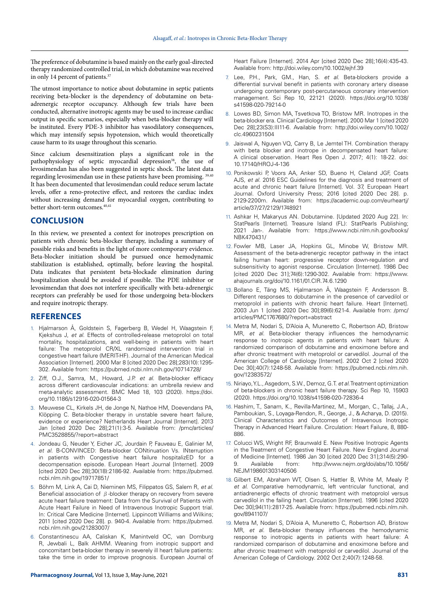The preference of dobutamine is based mainly on the early goal-directed therapy randomized controlled trial, in which dobutamine was received in only 14 percent of patients. $37$ 

The utmost importance to notice about dobutamine in septic patients receiving beta-blocker is the dependency of dobutamine on betaadrenergic receptor occupancy. Although few trials have been conducted, alternative inotropic agents may be used to increase cardiac output in specific scenarios, especially when beta-blocker therapy will be instituted. Every PDE-3 inhibitor has vasodilatory consequences, which may intensify sepsis hypotension, which would theoretically cause harm to its usage throughout this scenario.

Since calcium desensitization plays a significant role in the pathophysiology of septic myocardial depression<sup>38</sup>, the use of levosimendan has also been suggested in septic shock. The latest data regarding levosimendan use in these patients have been promising. 39,40 It has been documented that levosimendan could reduce serum lactate levels, offer a reno-protective effect, and restores the cardiac index without increasing demand for myocardial oxygen, contributing to better short-term outcomes.<sup>40,41</sup>

### **CONCLUSION**

In this review, we presented a context for inotropes prescription on patients with chronic beta-blocker therapy, including a summary of possible risks and benefits in the light of more contemporary evidence. Beta-blocker initiation should be pursued once hemodynamic stabilization is established, optimally, before leaving the hospital. Data indicates that persistent beta-blockade elimination during hospitalization should be avoided if possible. The PDE inhibitor or levosimendan that does not interfere specifically with beta-adrenergic receptors can preferably be used for those undergoing beta-blockers and require inotropic therapy.

### **REFERENCES**

- 1. Hjalmarson Å, Goldstein S, Fagerberg B, Wedel H, Waagstein F, Kjekshus J, *et al*. Effects of controlled-release metoprolol on total mortality, hospitalizations, and well-being in patients with heart failure: The metoprolol CR/XL randomized intervention trial in congestive heart failure (MERIT-HF). Journal of the American Medical Association [Internet]. 2000 Mar 8 [cited 2020 Dec 28];283(10):1295- 302. Available from: <https://pubmed.ncbi.nlm.nih.gov/10714728/>
- 2. Ziff, O.J., Samra, M., Howard, J.P. *et al*. Beta-blocker efficacy across different cardiovascular indications: an umbrella review and meta-analytic assessment. BMC Med 18, 103 (2020). https://doi. org/10.1186/s12916-020-01564-3
- 3. Meuwese CL, Kirkels JH, de Jonge N, Nathoe HM, Doevendans PA, Klöpping C. Beta-blocker therapy in unstable severe heart failure, evidence or experience? Netherlands Heart Journal [Internet]. 2013 Jan [cited 2020 Dec 28];21(1):3-5. Available from: /pmc/articles/ PMC3528855/?report=abstract
- 4. Jondeau G, Neuder Y, Eicher JC, Jourdain P, Fauveau E, Galinier M, *et al*. B-CONVINCED: Beta-blocker CONtinuation Vs. INterruption in patients with Congestive heart failure hospitalizED for a decompensation episode. European Heart Journal [Internet]. 2009 [cited 2020 Dec 28];30(18):2186-92. Available from: https://pubmed. ncbi.nlm.nih.gov/19717851/
- 5. Böhm M, Link A, Cai D, Nieminen MS, Filippatos GS, Salem R, *et al*. Beneficial association of  $\beta$ -blocker therapy on recovery from severe acute heart failure treatment: Data from the Survival of Patients with Acute Heart Failure in Need of Intravenous Inotropic Support trial. In: Critical Care Medicine [Internet]. Lippincott Williams and Wilkins; 2011 [cited 2020 Dec 28]. p. 940-4. Available from: https://pubmed. ncbi.nlm.nih.gov/21283007/
- 6. Constantinescu AA, Caliskan K, Manintveld OC, van Domburg R, Jewbali L, Balk AHMM. Weaning from inotropic support and concomitant beta-blocker therapy in severely ill heart failure patients: take the time in order to improve prognosis. European Journal of

Heart Failure [Internet]. 2014 Apr [cited 2020 Dec 28];16(4):435-43. Available from: http://doi.wiley.com/10.1002/ejhf.39

- 7. Lee, P.H., Park, GM., Han, S. *et al*. Beta-blockers provide a differential survival benefit in patients with coronary artery disease undergoing contemporary post-percutaneous coronary intervention management. Sci Rep 10, 22121 (2020). https://doi.org/10.1038/ s41598-020-79214-0
- 8. Lowes BD, Simon MA, Tsvetkova TO, Bristow MR. Inotropes in the beta-blocker era. Clinical Cardiology [Internet]. 2000 Mar 1 [cited 2020 Dec 28];23(S3):III11-6. Available from: http://doi.wiley.com/10.1002/ clc.4960231504
- 9. Jaiswal A, Nguyen VQ, Carry B, Le Jemtel TH. Combination therapy with beta blocker and inotrope in decompensated heart failure: A clinical observation. Heart Res Open J. 2017; 4(1): 18-22. doi: 10.17140/HROJ-4-136
- 10. Ponikowski P, Voors AA, Anker SD, Bueno H, Cleland JGF, Coats AJS, *et al*. 2016 ESC Guidelines for the diagnosis and treatment of acute and chronic heart failure [Internet]. Vol. 37, European Heart Journal. Oxford University Press; 2016 [cited 2020 Dec 28]. p. 2129-2200m. Available from: https://academic.oup.com/eurheartj/ article/37/27/2129/1748921
- 11. Ashkar H, Makaryus AN. Dobutamine. [Updated 2020 Aug 22]. In: StatPearls [Internet]. Treasure Island (FL): StatPearls Publishing; 2021 Jan-. Available from: https://www.ncbi.nlm.nih.gov/books/ NBK470431/
- 12. Fowler MB, Laser JA, Hopkins GL, Minobe W, Bristow MR. Assessment of the beta-adrenergic receptor pathway in the intact failing human heart: progressive receptor down-regulation and subsensitivity to agonist response. Circulation [Internet]. 1986 Dec [cited 2020 Dec 31];74(6):1290-302. Available from: https://www. ahajournals.org/doi/10.1161/01.CIR.74.6.1290
- 13. Bollano E, Täng MS, Hjalmarson Å, Waagstein F, Andersson B. Different responses to dobutamine in the presence of carvedilol or metoprolol in patients with chronic heart failure. Heart [Internet]. 2003 Jun 1 [cited 2020 Dec 30];89(6):621-4. Available from: /pmc/ articles/PMC1767680/?report=abstract
- 14. Metra M, Nodari S, D'Aloia A, Muneretto C, Robertson AD, Bristow MR, *et al*. Beta-blocker therapy influences the hemodynamic response to inotropic agents in patients with heart failure: A randomized comparison of dobutamine and enoximone before and after chronic treatment with metoprolol or carvedilol. Journal of the American College of Cardiology [Internet]. 2002 Oct 2 [cited 2020 Dec 30];40(7):1248-58. Available from: https://pubmed.ncbi.nlm.nih. gov/12383572/
- 15. Niriayo, Y.L., Asgedom, S.W., Demoz, G.T. *et al*. Treatment optimization of beta-blockers in chronic heart failure therapy. Sci Rep 10, 15903 (2020). https://doi.org/10.1038/s41598-020-72836-4
- 16. Hashim, T., Sanam, K., Revilla-Martinez, M., Morgan, C., Tallaj, J.A., Pamboukian, S., Loyaga-Rendon, R., George, J., & Acharya, D. (2015). Clinical Characteristics and Outcomes of Intravenous Inotropic Therapy in Advanced Heart Failure. Circulation: Heart Failure, 8, 880- 886.
- 17. Colucci WS, Wright RF, Braunwald E. New Positive Inotropic Agents in the Treatment of Congestive Heart Failure. New England Journal of Medicine [Internet]. 1986 Jan 30 [cited 2020 Dec 31];314(5):290- 9. Available from: http://www.nejm.org/doi/abs/10.1056/ NEJM198601303140506
- 18. Gilbert EM, Abraham WT, Olsen S, Hattler B, White M, Mealy P, *et al*. Comparative hemodynamic, left ventricular functional, and antiadrenergic effects of chronic treatment with metoprolol versus carvedilol in the failing heart. Circulation [Internet]. 1996 [cited 2020 Dec 30];94(11):2817-25. Available from: https://pubmed.ncbi.nlm.nih. gov/8941107/
- 19. Metra M, Nodari S, D'Aloia A, Muneretto C, Robertson AD, Bristow MR, *et al*. Beta-blocker therapy influences the hemodynamic response to inotropic agents in patients with heart failure: A randomized comparison of dobutamine and enoximone before and after chronic treatment with metoprolol or carvedilol. Journal of the American College of Cardiology. 2002 Oct 2;40(7):1248-58.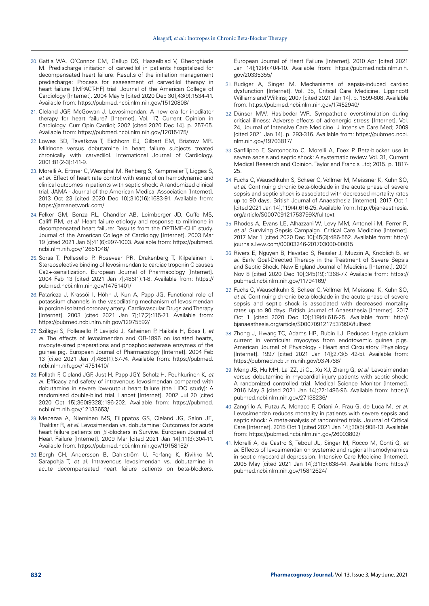- 20. Gattis WA, O'Connor CM, Gallup DS, Hasselblad V, Gheorghiade M. Predischarge initiation of carvedilol in patients hospitalized for decompensated heart failure: Results of the initiation management predischarge: Process for assessment of carvedilol therapy in heart failure (IMPACT-HF) trial. Journal of the American College of Cardiology [Internet]. 2004 May 5 [cited 2020 Dec 30];43(9):1534-41. Available from: https://pubmed.ncbi.nlm.nih.gov/15120808/
- 21. Cleland JGF, McGowan J. Levosimendan: A new era for inodilator therapy for heart failure? [Internet]. Vol. 17, Current Opinion in Cardiology. Curr Opin Cardiol; 2002 [cited 2020 Dec 14]. p. 257-65. Available from: https://pubmed.ncbi.nlm.nih.gov/12015475/
- 22. Lowes BD, Tsvetkova T, Eichhorn EJ, Gilbert EM, Bristow MR. Milrinone versus dobutamine in heart failure subjects treated chronically with carvedilol. International Journal of Cardiology. 2001;81(2-3):141-9.
- 23. Morelli A, Ertmer C, Westphal M, Rehberg S, Kampmeier T, Ligges S, *et al*. Effect of heart rate control with esmolol on hemodynamic and clinical outcomes in patients with septic shock: A randomized clinical trial. JAMA - Journal of the American Medical Association [Internet]. 2013 Oct 23 [cited 2020 Dec 10];310(16):1683-91. Available from: https://jamanetwork.com/
- 24. Felker GM, Benza RL, Chandler AB, Leimberger JD, Cuffe MS, Califf RM, *et al*. Heart failure etiology and response to milrinone in decompensated heart failure: Results from the OPTIME-CHF study. Journal of the American College of Cardiology [Internet]. 2003 Mar 19 [cited 2021 Jan 5];41(6):997-1003. Available from: https://pubmed. ncbi.nlm.nih.gov/12651048/
- 25. Sorsa T, Pollesello P, Rosevear PR, Drakenberg T, Kilpeläinen I. Stereoselective binding of levosimendan to cardiac troponin C causes Ca2+-sensitization. European Journal of Pharmacology [Internet]. 2004 Feb 13 [cited 2021 Jan 7];486(1):1-8. Available from: https:// pubmed.ncbi.nlm.nih.gov/14751401/
- 26. Pataricza J, Krassói I, Höhn J, Kun A, Papp JG. Functional role of potassium channels in the vasodilating mechanism of levosimendan in porcine isolated coronary artery. Cardiovascular Drugs and Therapy [Internet]. 2003 [cited 2021 Jan 7];17(2):115-21. Available from: https://pubmed.ncbi.nlm.nih.gov/12975592/
- 27. Szilágyi S, Pollesello P, Levijoki J, Kaheinen P, Haikala H, Édes I, *et al*. The effects of levosimendan and OR-1896 on isolated hearts, myocyte-sized preparations and phosphodiesterase enzymes of the guinea pig. European Journal of Pharmacology [Internet]. 2004 Feb 13 [cited 2021 Jan 7];486(1):67-74. Available from: https://pubmed. ncbi.nlm.nih.gov/14751410/
- 28. Follath F, Cleland JGF, Just H, Papp JGY, Scholz H, Peuhkurinen K, *et al*. Efficacy and safety of intravenous levosimendan compared with dobutamine in severe low-output heart failure (the LIDO study): A randomised double-blind trial. Lancet [Internet]. 2002 Jul 20 [cited 2020 Oct 15];360(9328):196-202. Available from: https://pubmed. ncbi.nlm.nih.gov/12133653/
- 29. Mebazaa A, Nieminen MS, Filippatos GS, Cleland JG, Salon JE, Thakkar R, *et al*. Levosimendan vs. dobutamine: Outcomes for acute heart failure patients on β-blockers in Survive. European Journal of Heart Failure [Internet]. 2009 Mar [cited 2021 Jan 14];11(3):304-11. Available from: https://pubmed.ncbi.nlm.nih.gov/19158152/
- 30. Bergh CH, Andersson B, Dahlström U, Forfang K, Kivikko M, Sarapohja T, *et al*. Intravenous levosimendan vs. dobutamine in acute decompensated heart failure patients on beta-blockers.

European Journal of Heart Failure [Internet]. 2010 Apr [cited 2021 Jan 14];12(4):404-10. Available from: https://pubmed.ncbi.nlm.nih. gov/20335355/

- 31. Rudiger A, Singer M. Mechanisms of sepsis-induced cardiac dysfunction [Internet]. Vol. 35, Critical Care Medicine. Lippincott Williams and Wilkins; 2007 [cited 2021 Jan 14]. p. 1599-608. Available from: https://pubmed.ncbi.nlm.nih.gov/17452940/
- 32. Dünser MW, Hasibeder WR. Sympathetic overstimulation during critical illness: Adverse effects of adrenergic stress [Internet]. Vol. 24, Journal of Intensive Care Medicine. J Intensive Care Med; 2009 [cited 2021 Jan 14]. p. 293-316. Available from: https://pubmed.ncbi. nlm.nih.gov/19703817/
- 33. Sanfilippo F, Santonocito C, Morelli A, Foex P. Beta-blocker use in severe sepsis and septic shock: A systematic review. Vol. 31, Current Medical Research and Opinion. Taylor and Francis Ltd; 2015. p. 1817- 25.
- 34. Fuchs C, Wauschkuhn S, Scheer C, Vollmer M, Meissner K, Kuhn SO, *et al*. Continuing chronic beta-blockade in the acute phase of severe sepsis and septic shock is associated with decreased mortality rates up to 90 days. British Journal of Anaesthesia [Internet]. 2017 Oct 1 [cited 2021 Jan 14];119(4):616-25. Available from: http://bjanaesthesia. org/article/S000709121753799X/fulltext
- 35. Rhodes A, Evans LE, Alhazzani W, Levy MM, Antonelli M, Ferrer R, *et al*. Surviving Sepsis Campaign. Critical Care Medicine [Internet]. 2017 Mar 1 [cited 2020 Dec 10];45(3):486-552. Available from: http:// journals.lww.com/00003246-201703000-00015
- 36. Rivers E, Nguyen B, Havstad S, Ressler J, Muzzin A, Knoblich B, *et al*. Early Goal-Directed Therapy in the Treatment of Severe Sepsis and Septic Shock. New England Journal of Medicine [Internet]. 2001 Nov 8 [cited 2020 Dec 10];345(19):1368-77. Available from: https:// pubmed.ncbi.nlm.nih.gov/11794169/
- 37. Fuchs C, Wauschkuhn S, Scheer C, Vollmer M, Meissner K, Kuhn SO, *et al*. Continuing chronic beta-blockade in the acute phase of severe sepsis and septic shock is associated with decreased mortality rates up to 90 days. British Journal of Anaesthesia [Internet]. 2017 Oct 1 [cited 2020 Dec 10];119(4):616-25. Available from: http:// bjanaesthesia.org/article/S000709121753799X/fulltext
- 38. Zhong J, Hwang TC, Adams HR, Rubin LJ. Reduced L-type calcium current in ventricular myocytes from endotoxemic guinea pigs. American Journal of Physiology - Heart and Circulatory Physiology [Internet]. 1997 [cited 2021 Jan 14];273(5 42-5). Available from: https://pubmed.ncbi.nlm.nih.gov/9374768/
- 39. Meng JB, Hu MH, Lai ZZ, Ji CL, Xu XJ, Zhang G, *et al*. Levosimendan versus dobutamine in myocardial injury patients with septic shock: A randomized controlled trial. Medical Science Monitor [Internet]. 2016 May 3 [cited 2021 Jan 14];22:1486-96. Available from: https:// pubmed.ncbi.nlm.nih.gov/27138236/
- 40. Zangrillo A, Putzu A, Monaco F, Oriani A, Frau G, de Luca M, *et al*. Levosimendan reduces mortality in patients with severe sepsis and septic shock: A meta-analysis of randomized trials. Journal of Critical Care [Internet]. 2015 Oct 1 [cited 2021 Jan 14];30(5):908-13. Available from: https://pubmed.ncbi.nlm.nih.gov/26093802/
- 41. Morelli A, de Castro S, Teboul JL, Singer M, Rocco M, Conti G, *et al*. Effects of levosimendan on systemic and regional hemodynamics in septic myocardial depression. Intensive Care Medicine [Internet]. 2005 May [cited 2021 Jan 14];31(5):638-44. Available from: https:// pubmed.ncbi.nlm.nih.gov/15812624/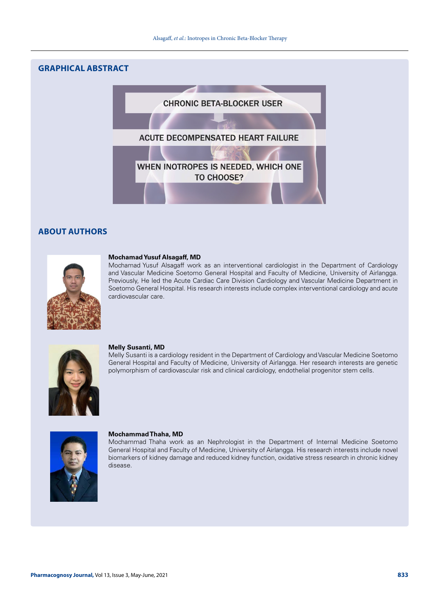# **GRAPHICAL ABSTRACT**



# **ABOUT AUTHORS**



### **Mochamad Yusuf Alsagaff, MD**

Mochamad Yusuf Alsagaff work as an interventional cardiologist in the Department of Cardiology and Vascular Medicine Soetomo General Hospital and Faculty of Medicine, University of Airlangga. Previously, He led the Acute Cardiac Care Division Cardiology and Vascular Medicine Department in Soetomo General Hospital. His research interests include complex interventional cardiology and acute cardiovascular care.



#### **Melly Susanti, MD**

Melly Susanti is a cardiology resident in the Department of Cardiology and Vascular Medicine Soetomo General Hospital and Faculty of Medicine, University of Airlangga. Her research interests are genetic polymorphism of cardiovascular risk and clinical cardiology, endothelial progenitor stem cells.



#### **Mochammad Thaha, MD**

Mochammad Thaha work as an Nephrologist in the Department of Internal Medicine Soetomo General Hospital and Faculty of Medicine, University of Airlangga. His research interests include novel biomarkers of kidney damage and reduced kidney function, oxidative stress research in chronic kidney disease.